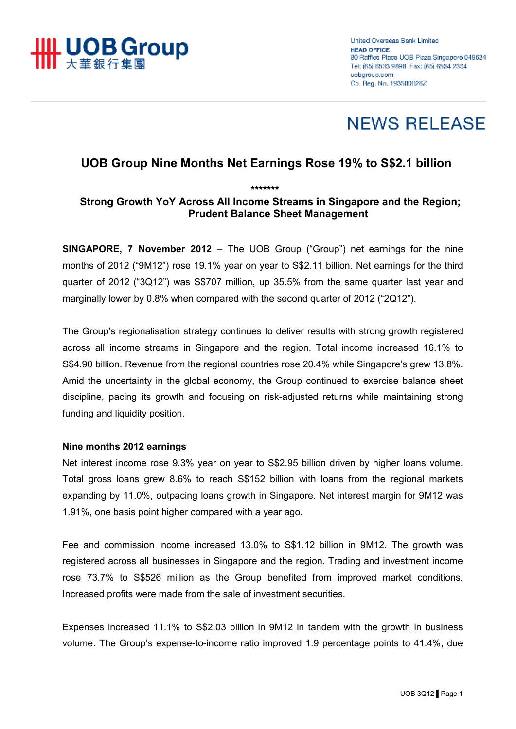

# **NEWS RELEASE**

# **UOB Group Nine Months Net Earnings Rose 19% to S\$2.1 billion**

*\*\*\*\*\*\*\** 

# **Strong Growth YoY Across All Income Streams in Singapore and the Region; Prudent Balance Sheet Management**

**SINGAPORE, 7 November 2012** – The UOB Group ("Group") net earnings for the nine months of 2012 ("9M12") rose 19.1% year on year to S\$2.11 billion. Net earnings for the third quarter of 2012 ("3Q12") was S\$707 million, up 35.5% from the same quarter last year and marginally lower by 0.8% when compared with the second quarter of 2012 ("2Q12").

The Group's regionalisation strategy continues to deliver results with strong growth registered across all income streams in Singapore and the region. Total income increased 16.1% to S\$4.90 billion. Revenue from the regional countries rose 20.4% while Singapore's grew 13.8%. Amid the uncertainty in the global economy, the Group continued to exercise balance sheet discipline, pacing its growth and focusing on risk-adjusted returns while maintaining strong funding and liquidity position.

## **Nine months 2012 earnings**

Net interest income rose 9.3% year on year to S\$2.95 billion driven by higher loans volume. Total gross loans grew 8.6% to reach S\$152 billion with loans from the regional markets expanding by 11.0%, outpacing loans growth in Singapore. Net interest margin for 9M12 was 1.91%, one basis point higher compared with a year ago.

Fee and commission income increased 13.0% to S\$1.12 billion in 9M12. The growth was registered across all businesses in Singapore and the region. Trading and investment income rose 73.7% to S\$526 million as the Group benefited from improved market conditions. Increased profits were made from the sale of investment securities.

Expenses increased 11.1% to S\$2.03 billion in 9M12 in tandem with the growth in business volume. The Group's expense-to-income ratio improved 1.9 percentage points to 41.4%, due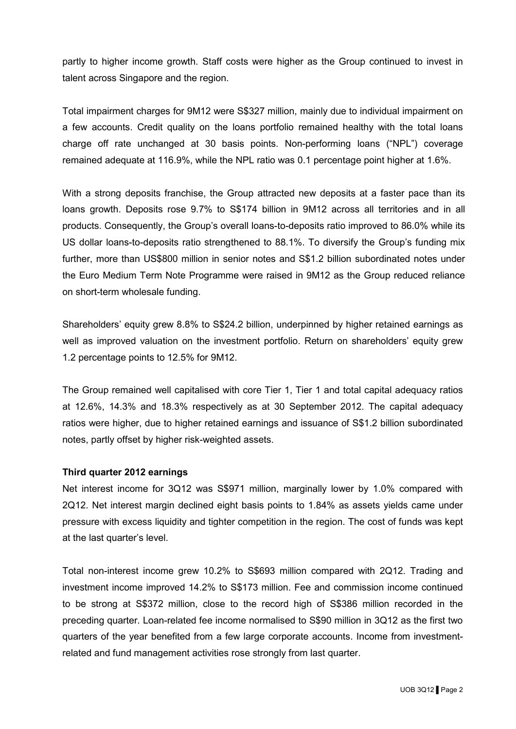partly to higher income growth. Staff costs were higher as the Group continued to invest in talent across Singapore and the region.

Total impairment charges for 9M12 were S\$327 million, mainly due to individual impairment on a few accounts. Credit quality on the loans portfolio remained healthy with the total loans charge off rate unchanged at 30 basis points. Non-performing loans ("NPL") coverage remained adequate at 116.9%, while the NPL ratio was 0.1 percentage point higher at 1.6%.

With a strong deposits franchise, the Group attracted new deposits at a faster pace than its loans growth. Deposits rose 9.7% to S\$174 billion in 9M12 across all territories and in all products. Consequently, the Group's overall loans-to-deposits ratio improved to 86.0% while its US dollar loans-to-deposits ratio strengthened to 88.1%. To diversify the Group's funding mix further, more than US\$800 million in senior notes and S\$1.2 billion subordinated notes under the Euro Medium Term Note Programme were raised in 9M12 as the Group reduced reliance on short-term wholesale funding.

Shareholders' equity grew 8.8% to S\$24.2 billion, underpinned by higher retained earnings as well as improved valuation on the investment portfolio. Return on shareholders' equity grew 1.2 percentage points to 12.5% for 9M12.

The Group remained well capitalised with core Tier 1, Tier 1 and total capital adequacy ratios at 12.6%, 14.3% and 18.3% respectively as at 30 September 2012. The capital adequacy ratios were higher, due to higher retained earnings and issuance of S\$1.2 billion subordinated notes, partly offset by higher risk-weighted assets.

### **Third quarter 2012 earnings**

Net interest income for 3Q12 was S\$971 million, marginally lower by 1.0% compared with 2Q12. Net interest margin declined eight basis points to 1.84% as assets yields came under pressure with excess liquidity and tighter competition in the region. The cost of funds was kept at the last quarter's level.

Total non-interest income grew 10.2% to S\$693 million compared with 2Q12. Trading and investment income improved 14.2% to S\$173 million. Fee and commission income continued to be strong at S\$372 million, close to the record high of S\$386 million recorded in the preceding quarter. Loan-related fee income normalised to S\$90 million in 3Q12 as the first two quarters of the year benefited from a few large corporate accounts. Income from investmentrelated and fund management activities rose strongly from last quarter.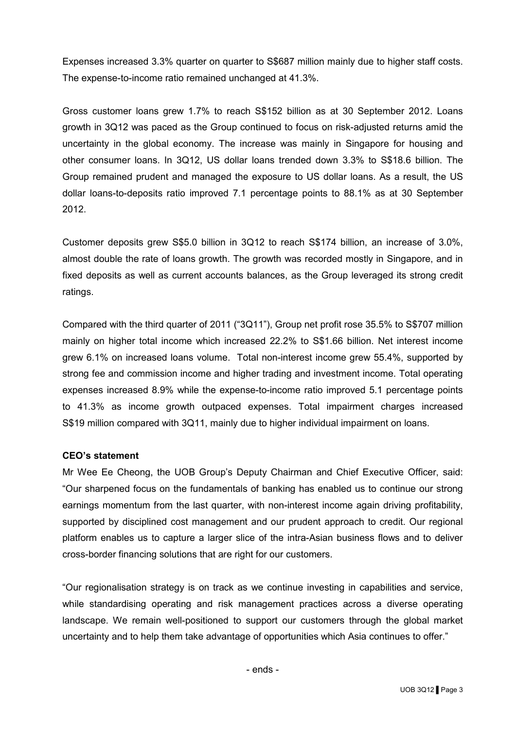Expenses increased 3.3% quarter on quarter to S\$687 million mainly due to higher staff costs. The expense-to-income ratio remained unchanged at 41.3%.

Gross customer loans grew 1.7% to reach S\$152 billion as at 30 September 2012. Loans growth in 3Q12 was paced as the Group continued to focus on risk-adjusted returns amid the uncertainty in the global economy. The increase was mainly in Singapore for housing and other consumer loans. In 3Q12, US dollar loans trended down 3.3% to S\$18.6 billion. The Group remained prudent and managed the exposure to US dollar loans. As a result, the US dollar loans-to-deposits ratio improved 7.1 percentage points to 88.1% as at 30 September 2012.

Customer deposits grew S\$5.0 billion in 3Q12 to reach S\$174 billion, an increase of 3.0%, almost double the rate of loans growth. The growth was recorded mostly in Singapore, and in fixed deposits as well as current accounts balances, as the Group leveraged its strong credit ratings.

Compared with the third quarter of 2011 ("3Q11"), Group net profit rose 35.5% to S\$707 million mainly on higher total income which increased 22.2% to S\$1.66 billion. Net interest income grew 6.1% on increased loans volume. Total non-interest income grew 55.4%, supported by strong fee and commission income and higher trading and investment income. Total operating expenses increased 8.9% while the expense-to-income ratio improved 5.1 percentage points to 41.3% as income growth outpaced expenses. Total impairment charges increased S\$19 million compared with 3Q11, mainly due to higher individual impairment on loans.

### **CEO's statement**

Mr Wee Ee Cheong, the UOB Group's Deputy Chairman and Chief Executive Officer, said: "Our sharpened focus on the fundamentals of banking has enabled us to continue our strong earnings momentum from the last quarter, with non-interest income again driving profitability, supported by disciplined cost management and our prudent approach to credit. Our regional platform enables us to capture a larger slice of the intra-Asian business flows and to deliver cross-border financing solutions that are right for our customers.

"Our regionalisation strategy is on track as we continue investing in capabilities and service, while standardising operating and risk management practices across a diverse operating landscape. We remain well-positioned to support our customers through the global market uncertainty and to help them take advantage of opportunities which Asia continues to offer."